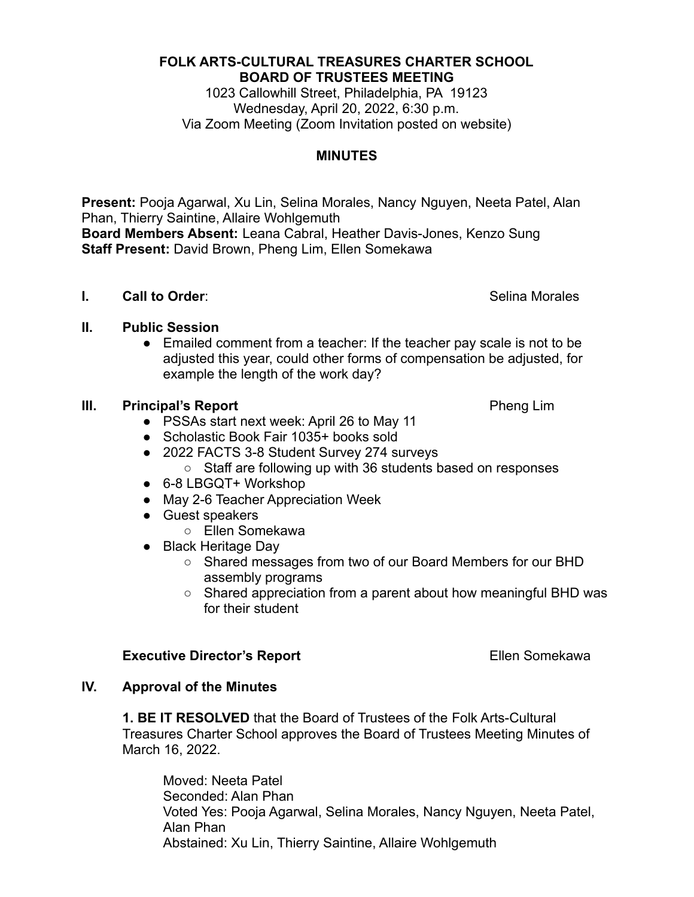#### **FOLK ARTS-CULTURAL TREASURES CHARTER SCHOOL BOARD OF TRUSTEES MEETING**

1023 Callowhill Street, Philadelphia, PA 19123 Wednesday, April 20, 2022, 6:30 p.m. Via Zoom Meeting (Zoom Invitation posted on website)

## **MINUTES**

**Present:** Pooja Agarwal, Xu Lin, Selina Morales, Nancy Nguyen, Neeta Patel, Alan Phan, Thierry Saintine, Allaire Wohlgemuth **Board Members Absent:** Leana Cabral, Heather Davis-Jones, Kenzo Sung **Staff Present:** David Brown, Pheng Lim, Ellen Somekawa

## **II. Public Session**

● Emailed comment from a teacher: If the teacher pay scale is not to be adjusted this year, could other forms of compensation be adjusted, for example the length of the work day?

## **III. Principal's Report Pheng Lim**

- PSSAs start next week: April 26 to May 11
- Scholastic Book Fair 1035+ books sold
- 2022 FACTS 3-8 Student Survey 274 surveys
	- Staff are following up with 36 students based on responses
- 6-8 LBGQT+ Workshop
- May 2-6 Teacher Appreciation Week
- Guest speakers
	- Ellen Somekawa
- Black Heritage Day
	- Shared messages from two of our Board Members for our BHD assembly programs
	- Shared appreciation from a parent about how meaningful BHD was for their student

## **Executive Director's Report EXEC 2008** Ellen Somekawa

## **IV. Approval of the Minutes**

**1. BE IT RESOLVED** that the Board of Trustees of the Folk Arts-Cultural Treasures Charter School approves the Board of Trustees Meeting Minutes of March 16, 2022.

Moved: Neeta Patel Seconded: Alan Phan Voted Yes: Pooja Agarwal, Selina Morales, Nancy Nguyen, Neeta Patel, Alan Phan Abstained: Xu Lin, Thierry Saintine, Allaire Wohlgemuth

# **I. Call to Order:** Selina Morales **Call to Order:** Selina Morales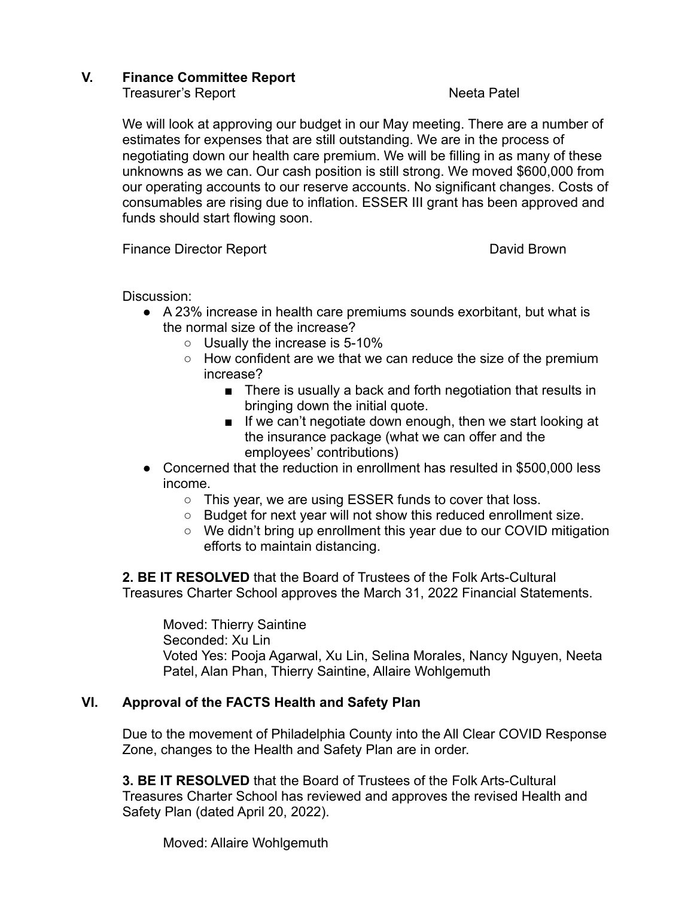## **V. Finance Committee Report**

Treasurer's Report **Neeta Patel** 

We will look at approving our budget in our May meeting. There are a number of estimates for expenses that are still outstanding. We are in the process of negotiating down our health care premium. We will be filling in as many of these unknowns as we can. Our cash position is still strong. We moved \$600,000 from our operating accounts to our reserve accounts. No significant changes. Costs of consumables are rising due to inflation. ESSER III grant has been approved and funds should start flowing soon.

Finance Director Report **David Brown** 

Discussion:

- A 23% increase in health care premiums sounds exorbitant, but what is the normal size of the increase?
	- Usually the increase is 5-10%
	- How confident are we that we can reduce the size of the premium increase?
		- There is usually a back and forth negotiation that results in bringing down the initial quote.
		- If we can't negotiate down enough, then we start looking at the insurance package (what we can offer and the employees' contributions)
- Concerned that the reduction in enrollment has resulted in \$500,000 less income.
	- This year, we are using ESSER funds to cover that loss.
	- Budget for next year will not show this reduced enrollment size.
	- We didn't bring up enrollment this year due to our COVID mitigation efforts to maintain distancing.

**2. BE IT RESOLVED** that the Board of Trustees of the Folk Arts-Cultural Treasures Charter School approves the March 31, 2022 Financial Statements.

Moved: Thierry Saintine Seconded: Xu Lin Voted Yes: Pooja Agarwal, Xu Lin, Selina Morales, Nancy Nguyen, Neeta Patel, Alan Phan, Thierry Saintine, Allaire Wohlgemuth

## **VI. Approval of the FACTS Health and Safety Plan**

Due to the movement of Philadelphia County into the All Clear COVID Response Zone, changes to the Health and Safety Plan are in order.

**3. BE IT RESOLVED** that the Board of Trustees of the Folk Arts-Cultural Treasures Charter School has reviewed and approves the revised Health and Safety Plan (dated April 20, 2022).

Moved: Allaire Wohlgemuth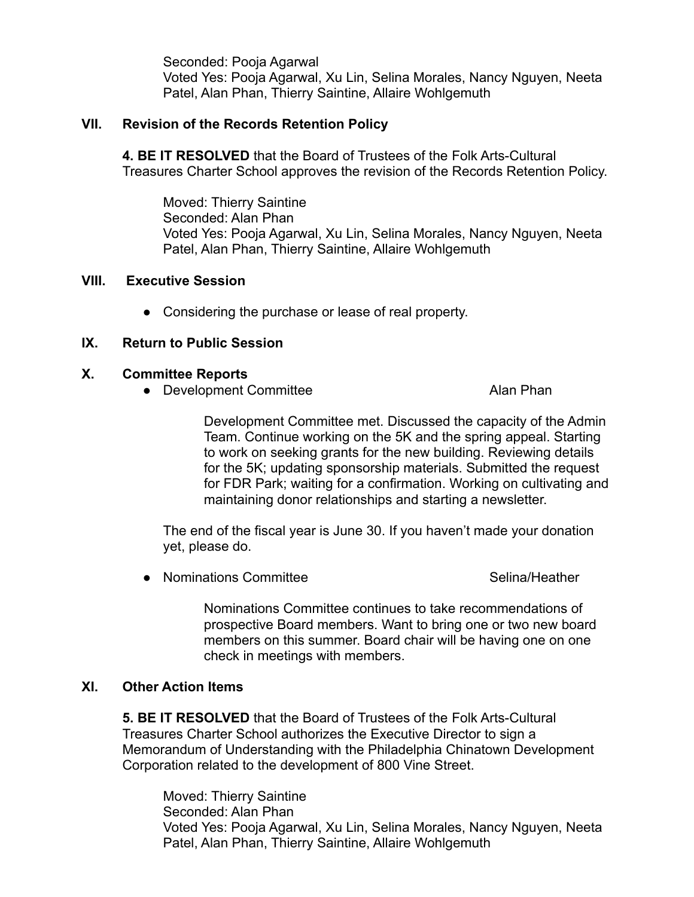Seconded: Pooja Agarwal Voted Yes: Pooja Agarwal, Xu Lin, Selina Morales, Nancy Nguyen, Neeta Patel, Alan Phan, Thierry Saintine, Allaire Wohlgemuth

## **VII. Revision of the Records Retention Policy**

**4. BE IT RESOLVED** that the Board of Trustees of the Folk Arts-Cultural Treasures Charter School approves the revision of the Records Retention Policy.

Moved: Thierry Saintine Seconded: Alan Phan Voted Yes: Pooja Agarwal, Xu Lin, Selina Morales, Nancy Nguyen, Neeta Patel, Alan Phan, Thierry Saintine, Allaire Wohlgemuth

## **VIII. Executive Session**

● Considering the purchase or lease of real property.

## **IX. Return to Public Session**

#### **X. Committee Reports**

● Development Committee Alan Phan

Development Committee met. Discussed the capacity of the Admin Team. Continue working on the 5K and the spring appeal. Starting to work on seeking grants for the new building. Reviewing details for the 5K; updating sponsorship materials. Submitted the request for FDR Park; waiting for a confirmation. Working on cultivating and maintaining donor relationships and starting a newsletter.

The end of the fiscal year is June 30. If you haven't made your donation yet, please do.

● Nominations Committee Selina/Heather

Nominations Committee continues to take recommendations of prospective Board members. Want to bring one or two new board members on this summer. Board chair will be having one on one check in meetings with members.

## **XI. Other Action Items**

**5. BE IT RESOLVED** that the Board of Trustees of the Folk Arts-Cultural Treasures Charter School authorizes the Executive Director to sign a Memorandum of Understanding with the Philadelphia Chinatown Development Corporation related to the development of 800 Vine Street.

Moved: Thierry Saintine Seconded: Alan Phan Voted Yes: Pooja Agarwal, Xu Lin, Selina Morales, Nancy Nguyen, Neeta Patel, Alan Phan, Thierry Saintine, Allaire Wohlgemuth